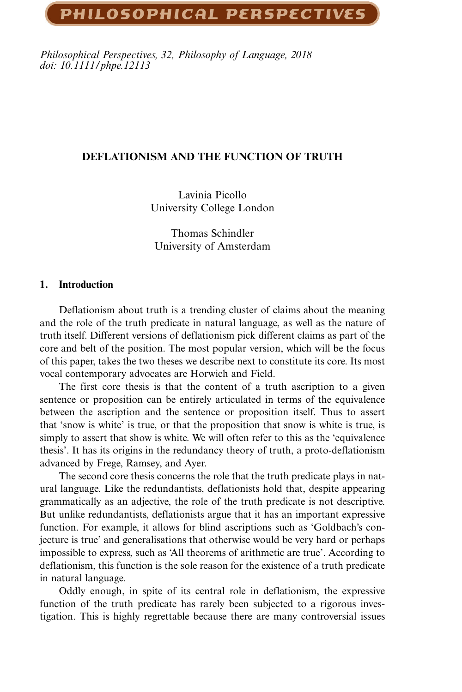# PHILOSOPHICAL PERSPECTIVES

*Philosophical Perspectives, 32, Philosophy of Language, 2018 doi: 10.1111/phpe.12113*

# **DEFLATIONISM AND THE FUNCTION OF TRUTH**

Lavinia Picollo University College London

Thomas Schindler University of Amsterdam

# **1. Introduction**

Deflationism about truth is a trending cluster of claims about the meaning and the role of the truth predicate in natural language, as well as the nature of truth itself. Different versions of deflationism pick different claims as part of the core and belt of the position. The most popular version, which will be the focus of this paper, takes the two theses we describe next to constitute its core. Its most vocal contemporary advocates are Horwich and Field.

The first core thesis is that the content of a truth ascription to a given sentence or proposition can be entirely articulated in terms of the equivalence between the ascription and the sentence or proposition itself. Thus to assert that 'snow is white' is true, or that the proposition that snow is white is true, is simply to assert that show is white. We will often refer to this as the 'equivalence thesis'. It has its origins in the redundancy theory of truth, a proto-deflationism advanced by Frege, Ramsey, and Ayer.

The second core thesis concerns the role that the truth predicate plays in natural language. Like the redundantists, deflationists hold that, despite appearing grammatically as an adjective, the role of the truth predicate is not descriptive. But unlike redundantists, deflationists argue that it has an important expressive function. For example, it allows for blind ascriptions such as 'Goldbach's conjecture is true' and generalisations that otherwise would be very hard or perhaps impossible to express, such as 'All theorems of arithmetic are true'. According to deflationism, this function is the sole reason for the existence of a truth predicate in natural language.

Oddly enough, in spite of its central role in deflationism, the expressive function of the truth predicate has rarely been subjected to a rigorous investigation. This is highly regrettable because there are many controversial issues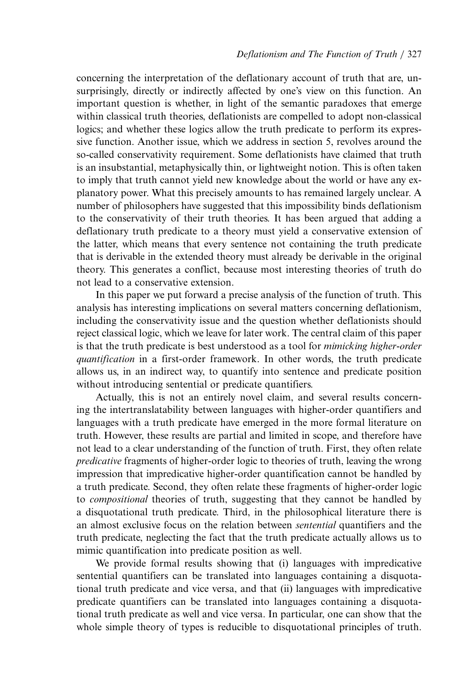concerning the interpretation of the deflationary account of truth that are, unsurprisingly, directly or indirectly affected by one's view on this function. An important question is whether, in light of the semantic paradoxes that emerge within classical truth theories, deflationists are compelled to adopt non-classical logics; and whether these logics allow the truth predicate to perform its expressive function. Another issue, which we address in section 5, revolves around the so-called conservativity requirement. Some deflationists have claimed that truth is an insubstantial, metaphysically thin, or lightweight notion. This is often taken to imply that truth cannot yield new knowledge about the world or have any explanatory power. What this precisely amounts to has remained largely unclear. A number of philosophers have suggested that this impossibility binds deflationism to the conservativity of their truth theories. It has been argued that adding a deflationary truth predicate to a theory must yield a conservative extension of the latter, which means that every sentence not containing the truth predicate that is derivable in the extended theory must already be derivable in the original theory. This generates a conflict, because most interesting theories of truth do not lead to a conservative extension.

In this paper we put forward a precise analysis of the function of truth. This analysis has interesting implications on several matters concerning deflationism, including the conservativity issue and the question whether deflationists should reject classical logic, which we leave for later work. The central claim of this paper is that the truth predicate is best understood as a tool for *mimicking higher-order quantification* in a first-order framework. In other words, the truth predicate allows us, in an indirect way, to quantify into sentence and predicate position without introducing sentential or predicate quantifiers.

Actually, this is not an entirely novel claim, and several results concerning the intertranslatability between languages with higher-order quantifiers and languages with a truth predicate have emerged in the more formal literature on truth. However, these results are partial and limited in scope, and therefore have not lead to a clear understanding of the function of truth. First, they often relate *predicative* fragments of higher-order logic to theories of truth, leaving the wrong impression that impredicative higher-order quantification cannot be handled by a truth predicate. Second, they often relate these fragments of higher-order logic to *compositional* theories of truth, suggesting that they cannot be handled by a disquotational truth predicate. Third, in the philosophical literature there is an almost exclusive focus on the relation between *sentential* quantifiers and the truth predicate, neglecting the fact that the truth predicate actually allows us to mimic quantification into predicate position as well.

We provide formal results showing that (i) languages with impredicative sentential quantifiers can be translated into languages containing a disquotational truth predicate and vice versa, and that (ii) languages with impredicative predicate quantifiers can be translated into languages containing a disquotational truth predicate as well and vice versa. In particular, one can show that the whole simple theory of types is reducible to disquotational principles of truth.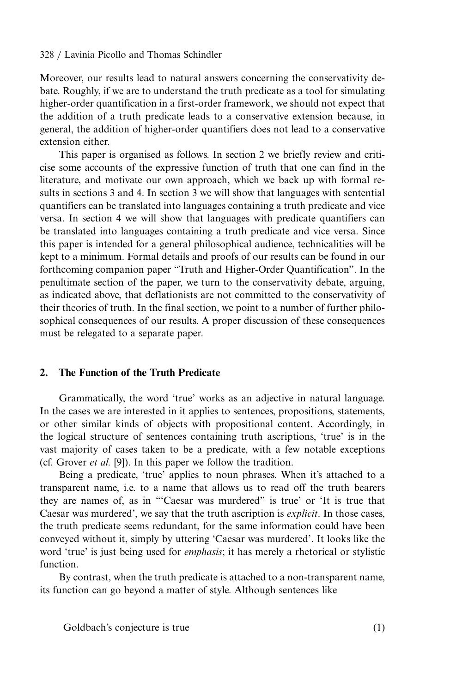Moreover, our results lead to natural answers concerning the conservativity debate. Roughly, if we are to understand the truth predicate as a tool for simulating higher-order quantification in a first-order framework, we should not expect that the addition of a truth predicate leads to a conservative extension because, in general, the addition of higher-order quantifiers does not lead to a conservative extension either.

This paper is organised as follows. In section 2 we briefly review and criticise some accounts of the expressive function of truth that one can find in the literature, and motivate our own approach, which we back up with formal results in sections 3 and 4. In section 3 we will show that languages with sentential quantifiers can be translated into languages containing a truth predicate and vice versa. In section 4 we will show that languages with predicate quantifiers can be translated into languages containing a truth predicate and vice versa. Since this paper is intended for a general philosophical audience, technicalities will be kept to a minimum. Formal details and proofs of our results can be found in our forthcoming companion paper "Truth and Higher-Order Quantification". In the penultimate section of the paper, we turn to the conservativity debate, arguing, as indicated above, that deflationists are not committed to the conservativity of their theories of truth. In the final section, we point to a number of further philosophical consequences of our results. A proper discussion of these consequences must be relegated to a separate paper.

# **2. The Function of the Truth Predicate**

Grammatically, the word 'true' works as an adjective in natural language. In the cases we are interested in it applies to sentences, propositions, statements, or other similar kinds of objects with propositional content. Accordingly, in the logical structure of sentences containing truth ascriptions, 'true' is in the vast majority of cases taken to be a predicate, with a few notable exceptions (cf. Grover *et al.* [9]). In this paper we follow the tradition.

Being a predicate, 'true' applies to noun phrases. When it's attached to a transparent name, i.e. to a name that allows us to read off the truth bearers they are names of, as in "'Caesar was murdered" is true' or 'It is true that Caesar was murdered', we say that the truth ascription is *explicit*. In those cases, the truth predicate seems redundant, for the same information could have been conveyed without it, simply by uttering 'Caesar was murdered'. It looks like the word 'true' is just being used for *emphasis*; it has merely a rhetorical or stylistic function.

By contrast, when the truth predicate is attached to a non-transparent name, its function can go beyond a matter of style. Although sentences like

Goldbach's conjecture is true (1) (1)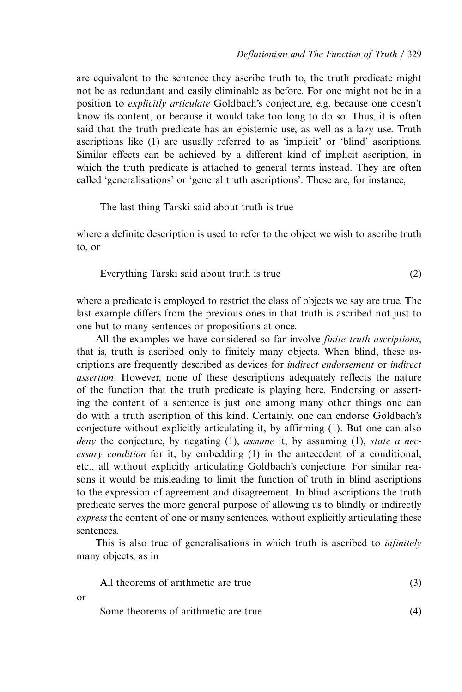are equivalent to the sentence they ascribe truth to, the truth predicate might not be as redundant and easily eliminable as before. For one might not be in a position to *explicitly articulate* Goldbach's conjecture, e.g. because one doesn't know its content, or because it would take too long to do so. Thus, it is often said that the truth predicate has an epistemic use, as well as a lazy use. Truth ascriptions like (1) are usually referred to as 'implicit' or 'blind' ascriptions. Similar effects can be achieved by a different kind of implicit ascription, in which the truth predicate is attached to general terms instead. They are often called 'generalisations' or 'general truth ascriptions'. These are, for instance,

The last thing Tarski said about truth is true

where a definite description is used to refer to the object we wish to ascribe truth to, or

Everything Tarski said about truth is true (2)

where a predicate is employed to restrict the class of objects we say are true. The last example differs from the previous ones in that truth is ascribed not just to one but to many sentences or propositions at once.

All the examples we have considered so far involve *finite truth ascriptions*, that is, truth is ascribed only to finitely many objects. When blind, these ascriptions are frequently described as devices for *indirect endorsement* or *indirect assertion*. However, none of these descriptions adequately reflects the nature of the function that the truth predicate is playing here. Endorsing or asserting the content of a sentence is just one among many other things one can do with a truth ascription of this kind. Certainly, one can endorse Goldbach's conjecture without explicitly articulating it, by affirming (1). But one can also *deny* the conjecture, by negating (1), *assume* it, by assuming (1), *state a necessary condition* for it, by embedding (1) in the antecedent of a conditional, etc., all without explicitly articulating Goldbach's conjecture. For similar reasons it would be misleading to limit the function of truth in blind ascriptions to the expression of agreement and disagreement. In blind ascriptions the truth predicate serves the more general purpose of allowing us to blindly or indirectly *express* the content of one or many sentences, without explicitly articulating these sentences.

This is also true of generalisations in which truth is ascribed to *infinitely* many objects, as in

or

Some theorems of arithmetic are true (4)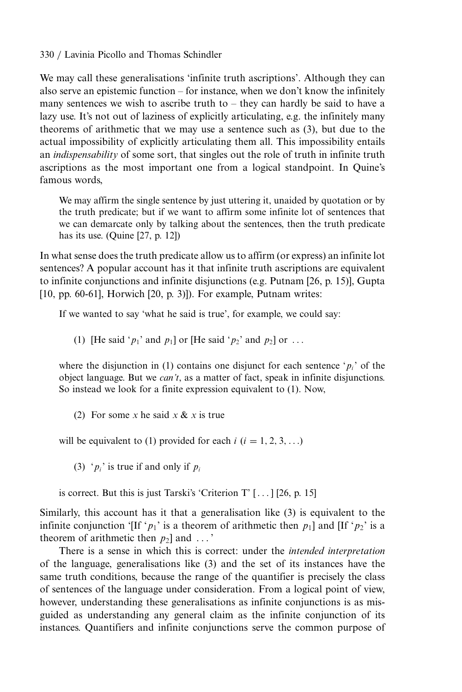We may call these generalisations 'infinite truth ascriptions'. Although they can also serve an epistemic function – for instance, when we don't know the infinitely many sentences we wish to ascribe truth to – they can hardly be said to have a lazy use. It's not out of laziness of explicitly articulating, e.g. the infinitely many theorems of arithmetic that we may use a sentence such as (3), but due to the actual impossibility of explicitly articulating them all. This impossibility entails an *indispensability* of some sort, that singles out the role of truth in infinite truth ascriptions as the most important one from a logical standpoint. In Quine's famous words,

We may affirm the single sentence by just uttering it, unaided by quotation or by the truth predicate; but if we want to affirm some infinite lot of sentences that we can demarcate only by talking about the sentences, then the truth predicate has its use. (Quine [27, p. 12])

In what sense does the truth predicate allow us to affirm (or express) an infinite lot sentences? A popular account has it that infinite truth ascriptions are equivalent to infinite conjunctions and infinite disjunctions (e.g. Putnam [26, p. 15)], Gupta [10, pp. 60-61], Horwich [20, p. 3)]). For example, Putnam writes:

If we wanted to say 'what he said is true', for example, we could say:

(1) [He said ' $p_1$ ' and  $p_1$ ] or [He said ' $p_2$ ' and  $p_2$ ] or ...

where the disjunction in (1) contains one disjunct for each sentence ' $p_i$ ' of the object language. But we *can't*, as a matter of fact, speak in infinite disjunctions. So instead we look for a finite expression equivalent to (1). Now,

(2) For some *x* he said *x* & *x* is true

will be equivalent to (1) provided for each  $i$  ( $i = 1, 2, 3, \ldots$ )

(3)  $\Delta p_i$  is true if and only if  $p_i$ 

is correct. But this is just Tarski's 'Criterion T'  $[\dots]$  [26, p. 15]

Similarly, this account has it that a generalisation like (3) is equivalent to the infinite conjunction '[If ' $p_1$ ' is a theorem of arithmetic then  $p_1$ ] and [If ' $p_2$ ' is a theorem of arithmetic then  $p_2$ ] and ...'

There is a sense in which this is correct: under the *intended interpretation* of the language, generalisations like (3) and the set of its instances have the same truth conditions, because the range of the quantifier is precisely the class of sentences of the language under consideration. From a logical point of view, however, understanding these generalisations as infinite conjunctions is as misguided as understanding any general claim as the infinite conjunction of its instances. Quantifiers and infinite conjunctions serve the common purpose of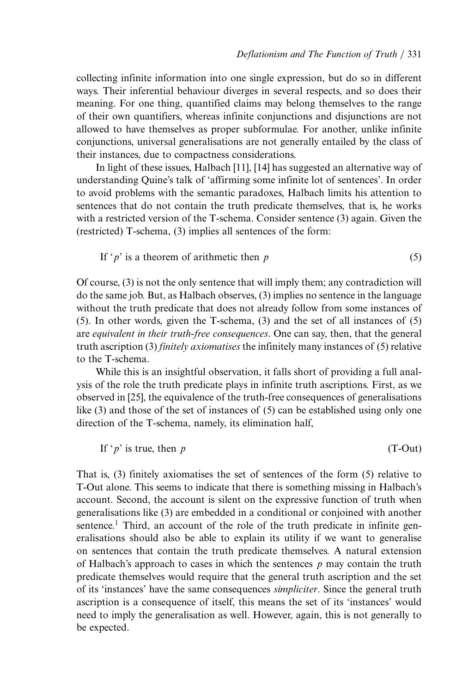collecting infinite information into one single expression, but do so in different ways. Their inferential behaviour diverges in several respects, and so does their meaning. For one thing, quantified claims may belong themselves to the range of their own quantifiers, whereas infinite conjunctions and disjunctions are not allowed to have themselves as proper subformulae. For another, unlike infinite conjunctions, universal generalisations are not generally entailed by the class of their instances, due to compactness considerations.

In light of these issues, Halbach [11], [14] has suggested an alternative way of understanding Quine's talk of 'affirming some infinite lot of sentences'. In order to avoid problems with the semantic paradoxes, Halbach limits his attention to sentences that do not contain the truth predicate themselves, that is, he works with a restricted version of the T-schema. Consider sentence (3) again. Given the (restricted) T-schema, (3) implies all sentences of the form:

If 
$$
p'
$$
 is a theorem of arithmetic then  $p$  (5)

Of course, (3) is not the only sentence that will imply them; any contradiction will do the same job. But, as Halbach observes, (3) implies no sentence in the language without the truth predicate that does not already follow from some instances of (5). In other words, given the T-schema, (3) and the set of all instances of (5) are *equivalent in their truth-free consequences*. One can say, then, that the general truth ascription (3) *finitely axiomatises* the infinitely many instances of (5) relative to the T-schema.

While this is an insightful observation, it falls short of providing a full analysis of the role the truth predicate plays in infinite truth ascriptions. First, as we observed in [25], the equivalence of the truth-free consequences of generalisations like (3) and those of the set of instances of (5) can be established using only one direction of the T-schema, namely, its elimination half,

If 'p' is true, then 
$$
p
$$
 (T-Out)

That is, (3) finitely axiomatises the set of sentences of the form (5) relative to T-Out alone. This seems to indicate that there is something missing in Halbach's account. Second, the account is silent on the expressive function of truth when generalisations like (3) are embedded in a conditional or conjoined with another sentence.<sup>1</sup> Third, an account of the role of the truth predicate in infinite generalisations should also be able to explain its utility if we want to generalise on sentences that contain the truth predicate themselves. A natural extension of Halbach's approach to cases in which the sentences *p* may contain the truth predicate themselves would require that the general truth ascription and the set of its 'instances' have the same consequences *simpliciter*. Since the general truth ascription is a consequence of itself, this means the set of its 'instances' would need to imply the generalisation as well. However, again, this is not generally to be expected.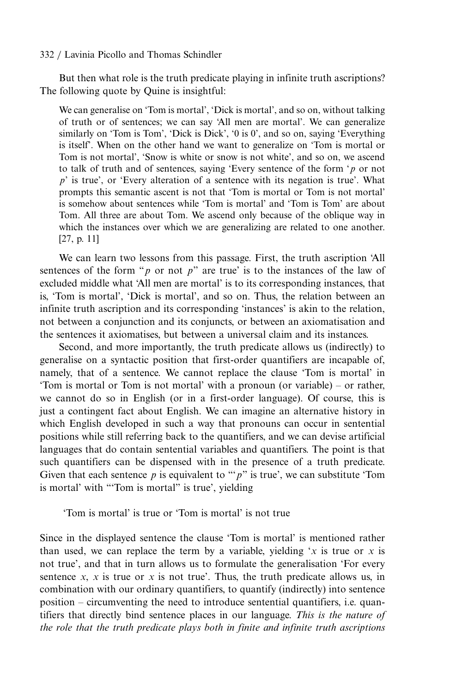But then what role is the truth predicate playing in infinite truth ascriptions? The following quote by Quine is insightful:

We can generalise on 'Tom is mortal', 'Dick is mortal', and so on, without talking of truth or of sentences; we can say 'All men are mortal'. We can generalize similarly on 'Tom is Tom', 'Dick is Dick', '0 is 0', and so on, saying 'Everything is itself'. When on the other hand we want to generalize on 'Tom is mortal or Tom is not mortal', 'Snow is white or snow is not white', and so on, we ascend to talk of truth and of sentences, saying 'Every sentence of the form '*p* or not *p*' is true', or 'Every alteration of a sentence with its negation is true'. What prompts this semantic ascent is not that 'Tom is mortal or Tom is not mortal' is somehow about sentences while 'Tom is mortal' and 'Tom is Tom' are about Tom. All three are about Tom. We ascend only because of the oblique way in which the instances over which we are generalizing are related to one another. [27, p. 11]

We can learn two lessons from this passage. First, the truth ascription 'All sentences of the form " $p$  or not  $p$ " are true' is to the instances of the law of excluded middle what 'All men are mortal' is to its corresponding instances, that is, 'Tom is mortal', 'Dick is mortal', and so on. Thus, the relation between an infinite truth ascription and its corresponding 'instances' is akin to the relation, not between a conjunction and its conjuncts, or between an axiomatisation and the sentences it axiomatises, but between a universal claim and its instances.

Second, and more importantly, the truth predicate allows us (indirectly) to generalise on a syntactic position that first-order quantifiers are incapable of, namely, that of a sentence. We cannot replace the clause 'Tom is mortal' in 'Tom is mortal or Tom is not mortal' with a pronoun (or variable) – or rather, we cannot do so in English (or in a first-order language). Of course, this is just a contingent fact about English. We can imagine an alternative history in which English developed in such a way that pronouns can occur in sentential positions while still referring back to the quantifiers, and we can devise artificial languages that do contain sentential variables and quantifiers. The point is that such quantifiers can be dispensed with in the presence of a truth predicate. Given that each sentence  $p$  is equivalent to " $p$ " is true', we can substitute 'Tom is mortal' with "'Tom is mortal" is true', yielding

'Tom is mortal' is true or 'Tom is mortal' is not true

Since in the displayed sentence the clause 'Tom is mortal' is mentioned rather than used, we can replace the term by a variable, yielding ' $x$  is true or  $x$  is not true', and that in turn allows us to formulate the generalisation 'For every sentence  $x$ ,  $x$  is true or  $x$  is not true'. Thus, the truth predicate allows us, in combination with our ordinary quantifiers, to quantify (indirectly) into sentence position – circumventing the need to introduce sentential quantifiers, i.e. quantifiers that directly bind sentence places in our language. *This is the nature of the role that the truth predicate plays both in finite and infinite truth ascriptions*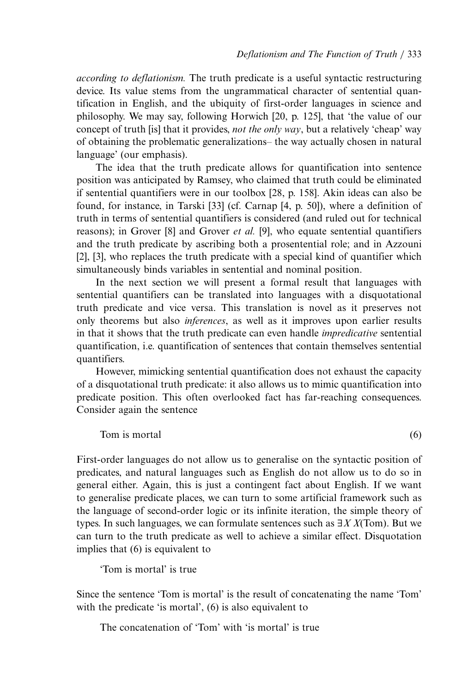*according to deflationism.* The truth predicate is a useful syntactic restructuring device. Its value stems from the ungrammatical character of sentential quantification in English, and the ubiquity of first-order languages in science and philosophy. We may say, following Horwich [20, p. 125], that 'the value of our concept of truth [is] that it provides, *not the only way*, but a relatively 'cheap' way of obtaining the problematic generalizations– the way actually chosen in natural language' (our emphasis).

The idea that the truth predicate allows for quantification into sentence position was anticipated by Ramsey, who claimed that truth could be eliminated if sentential quantifiers were in our toolbox [28, p. 158]. Akin ideas can also be found, for instance, in Tarski [33] (cf. Carnap [4, p. 50]), where a definition of truth in terms of sentential quantifiers is considered (and ruled out for technical reasons); in Grover [8] and Grover *et al.* [9], who equate sentential quantifiers and the truth predicate by ascribing both a prosentential role; and in Azzouni [2], [3], who replaces the truth predicate with a special kind of quantifier which simultaneously binds variables in sentential and nominal position.

In the next section we will present a formal result that languages with sentential quantifiers can be translated into languages with a disquotational truth predicate and vice versa. This translation is novel as it preserves not only theorems but also *inferences*, as well as it improves upon earlier results in that it shows that the truth predicate can even handle *impredicative* sentential quantification, i.e. quantification of sentences that contain themselves sentential quantifiers.

However, mimicking sentential quantification does not exhaust the capacity of a disquotational truth predicate: it also allows us to mimic quantification into predicate position. This often overlooked fact has far-reaching consequences. Consider again the sentence

| Tom is mortal |
|---------------|
|               |

First-order languages do not allow us to generalise on the syntactic position of predicates, and natural languages such as English do not allow us to do so in general either. Again, this is just a contingent fact about English. If we want to generalise predicate places, we can turn to some artificial framework such as the language of second-order logic or its infinite iteration, the simple theory of types. In such languages, we can formulate sentences such as ∃*X X*(Tom). But we can turn to the truth predicate as well to achieve a similar effect. Disquotation implies that (6) is equivalent to

'Tom is mortal' is true

Since the sentence 'Tom is mortal' is the result of concatenating the name 'Tom' with the predicate 'is mortal', (6) is also equivalent to

The concatenation of 'Tom' with 'is mortal' is true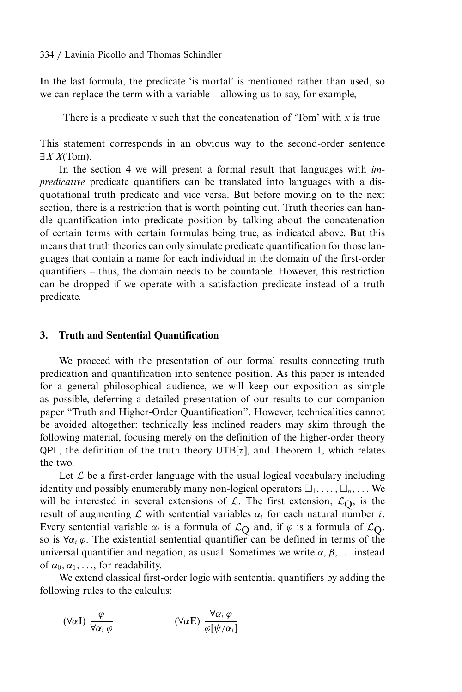In the last formula, the predicate 'is mortal' is mentioned rather than used, so we can replace the term with a variable – allowing us to say, for example,

There is a predicate  $x$  such that the concatenation of 'Tom' with  $x$  is true

This statement corresponds in an obvious way to the second-order sentence ∃*X X*(Tom).

In the section 4 we will present a formal result that languages with *impredicative* predicate quantifiers can be translated into languages with a disquotational truth predicate and vice versa. But before moving on to the next section, there is a restriction that is worth pointing out. Truth theories can handle quantification into predicate position by talking about the concatenation of certain terms with certain formulas being true, as indicated above. But this means that truth theories can only simulate predicate quantification for those languages that contain a name for each individual in the domain of the first-order quantifiers – thus, the domain needs to be countable. However, this restriction can be dropped if we operate with a satisfaction predicate instead of a truth predicate.

## **3. Truth and Sentential Quantification**

We proceed with the presentation of our formal results connecting truth predication and quantification into sentence position. As this paper is intended for a general philosophical audience, we will keep our exposition as simple as possible, deferring a detailed presentation of our results to our companion paper "Truth and Higher-Order Quantification". However, technicalities cannot be avoided altogether: technically less inclined readers may skim through the following material, focusing merely on the definition of the higher-order theory QPL, the definition of the truth theory  $UTB[\tau]$ , and Theorem 1, which relates the two.

Let  $\mathcal L$  be a first-order language with the usual logical vocabulary including identity and possibly enumerably many non-logical operators  $\square_1,\ldots,\square_n,\ldots$  We will be interested in several extensions of  $\mathcal{L}$ . The first extension,  $\mathcal{L}_{\Omega}$ , is the result of augmenting  $\mathcal L$  with sentential variables  $\alpha_i$  for each natural number *i*. Every sentential variable  $\alpha_i$  is a formula of  $\mathcal{L}_{\Omega}$  and, if  $\varphi$  is a formula of  $\mathcal{L}_{\Omega}$ , so is  $\forall \alpha_i \varphi$ . The existential sentential quantifier can be defined in terms of the universal quantifier and negation, as usual. Sometimes we write  $\alpha, \beta, \ldots$  instead of  $\alpha_0, \alpha_1, \ldots$ , for readability.

We extend classical first-order logic with sentential quantifiers by adding the following rules to the calculus:

$$
(\forall \alpha I) \frac{\varphi}{\forall \alpha_i \varphi} \qquad (\forall \alpha E) \frac{\forall \alpha_i \varphi}{\varphi[\psi/\alpha_i]}
$$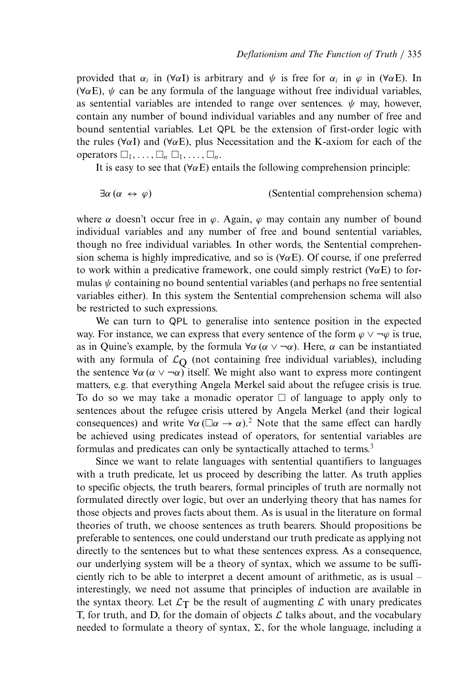provided that  $\alpha_i$  in ( $\forall \alpha I$ ) is arbitrary and  $\psi$  is free for  $\alpha_i$  in  $\varphi$  in ( $\forall \alpha E$ ). In  $(\forall \alpha E)$ ,  $\psi$  can be any formula of the language without free individual variables, as sentential variables are intended to range over sentences.  $\psi$  may, however, contain any number of bound individual variables and any number of free and bound sentential variables. Let QPL be the extension of first-order logic with the rules ( $\forall \alpha I$ ) and ( $\forall \alpha E$ ), plus Necessitation and the K-axiom for each of the operators  $\Box_1, \ldots, \Box_n \Box_1, \ldots, \Box_n$ .

It is easy to see that  $(\forall \alpha E)$  entails the following comprehension principle:

$$
\exists \alpha \, (\alpha \leftrightarrow \varphi) \tag{Sentential comprehension schema}
$$

where  $\alpha$  doesn't occur free in  $\varphi$ . Again,  $\varphi$  may contain any number of bound individual variables and any number of free and bound sentential variables, though no free individual variables. In other words, the Sentential comprehension schema is highly impredicative, and so is  $(\forall \alpha E)$ . Of course, if one preferred to work within a predicative framework, one could simply restrict ( $\forall \alpha E$ ) to formulas  $\psi$  containing no bound sentential variables (and perhaps no free sentential variables either). In this system the Sentential comprehension schema will also be restricted to such expressions.

We can turn to QPL to generalise into sentence position in the expected way. For instance, we can express that every sentence of the form  $\varphi \vee \neg \varphi$  is true, as in Quine's example, by the formula  $\forall \alpha \, (\alpha \vee \neg \alpha)$ . Here,  $\alpha$  can be instantiated with any formula of  $\mathcal{L}_{\Omega}$  (not containing free individual variables), including the sentence  $\forall \alpha \ (\alpha \lor \neg \alpha)$  itself. We might also want to express more contingent matters, e.g. that everything Angela Merkel said about the refugee crisis is true. To do so we may take a monadic operator  $\Box$  of language to apply only to sentences about the refugee crisis uttered by Angela Merkel (and their logical consequences) and write  $\forall \alpha (\Box \alpha \rightarrow \alpha)^2$ . Note that the same effect can hardly be achieved using predicates instead of operators, for sentential variables are formulas and predicates can only be syntactically attached to terms.<sup>3</sup>

Since we want to relate languages with sentential quantifiers to languages with a truth predicate, let us proceed by describing the latter. As truth applies to specific objects, the truth bearers, formal principles of truth are normally not formulated directly over logic, but over an underlying theory that has names for those objects and proves facts about them. As is usual in the literature on formal theories of truth, we choose sentences as truth bearers. Should propositions be preferable to sentences, one could understand our truth predicate as applying not directly to the sentences but to what these sentences express. As a consequence, our underlying system will be a theory of syntax, which we assume to be sufficiently rich to be able to interpret a decent amount of arithmetic, as is usual – interestingly, we need not assume that principles of induction are available in the syntax theory. Let  $\mathcal{L}_T$  be the result of augmenting  $\mathcal L$  with unary predicates T, for truth, and D, for the domain of objects *L* talks about, and the vocabulary needed to formulate a theory of syntax,  $\Sigma$ , for the whole language, including a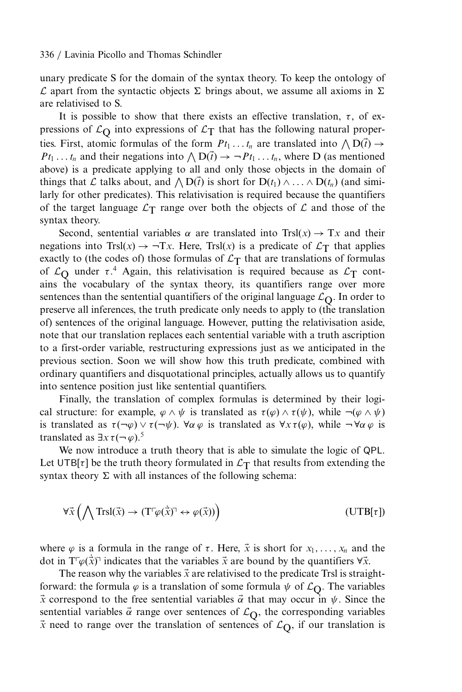unary predicate S for the domain of the syntax theory. To keep the ontology of  $\mathcal L$  apart from the syntactic objects  $\Sigma$  brings about, we assume all axioms in  $\Sigma$ are relativised to S.

It is possible to show that there exists an effective translation,  $\tau$ , of expressions of  $\mathcal{L}_{\mathbf{Q}}$  into expressions of  $\mathcal{L}_{\mathbf{T}}$  that has the following natural properties. First, atomic formulas of the form  $Pt_1 \ldots t_n$  are translated into  $\bigwedge D(\bar{t}) \rightarrow$ *Pt*<sub>1</sub> ... *t<sub>n</sub>* and their negations into  $\bigwedge D(\tilde{t}) \rightarrow \neg Pt_1 \dots t_n$ , where D (as mentioned above) is a predicate applying to all and only those objects in the domain of things that *L* talks about, and  $\bigwedge D(\bar{t})$  is short for  $D(t_1) \wedge ... \wedge D(t_n)$  (and similarly for other predicates). This relativisation is required because the quantifiers of the target language  $\mathcal{L}_T$  range over both the objects of  $\mathcal L$  and those of the syntax theory.

Second, sentential variables  $\alpha$  are translated into  $Trsl(x) \rightarrow Tx$  and their negations into Trsl(*x*)  $\rightarrow$   $\neg$ T*x*. Here, Trsl(*x*) is a predicate of  $\mathcal{L}_{\mathbf{T}}$  that applies exactly to (the codes of) those formulas of  $\mathcal{L}_{\mathsf{T}}$  that are translations of formulas of *L*Q under τ<sup>4</sup> Again, this relativisation is required because as  $L_T$  contains the vocabulary of the syntax theory, its quantifiers range over more sentences than the sentential quantifiers of the original language *L*Q. In order to preserve all inferences, the truth predicate only needs to apply to (the translation of) sentences of the original language. However, putting the relativisation aside, note that our translation replaces each sentential variable with a truth ascription to a first-order variable, restructuring expressions just as we anticipated in the previous section. Soon we will show how this truth predicate, combined with ordinary quantifiers and disquotational principles, actually allows us to quantify into sentence position just like sentential quantifiers.

Finally, the translation of complex formulas is determined by their logical structure: for example,  $\varphi \wedge \psi$  is translated as  $\tau(\varphi) \wedge \tau(\psi)$ , while  $\neg(\varphi \wedge \psi)$ is translated as  $\tau(\neg\varphi) \vee \tau(\neg\psi)$ .  $\forall \alpha \varphi$  is translated as  $\forall x \tau(\varphi)$ , while  $\neg \forall \alpha \varphi$  is translated as  $\exists x \tau (\neg \varphi)$ .<sup>5</sup>

We now introduce a truth theory that is able to simulate the logic of QPL. Let UTB[ $\tau$ ] be the truth theory formulated in  $\mathcal{L}_T$  that results from extending the syntax theory  $\Sigma$  with all instances of the following schema:

$$
\forall \vec{x} \left( \bigwedge \text{Trsl}(\vec{x}) \to (\text{T}^{\lceil} \varphi(\dot{\vec{x}})^{\rceil} \leftrightarrow \varphi(\vec{x})) \right) \tag{UTB}[\tau])
$$

where  $\varphi$  is a formula in the range of  $\tau$ . Here,  $\vec{x}$  is short for  $x_1, \ldots, x_n$  and the dot in T<sup> $\Gamma \varphi(\dot{\vec{x}})$ <sup>T</sup> indicates that the variables  $\vec{x}$  are bound by the quantifiers  $\forall \vec{x}$ .</sup>

The reason why the variables  $\vec{x}$  are relativised to the predicate Trsl is straightforward: the formula  $\varphi$  is a translation of some formula  $\psi$  of  $\mathcal{L}_{\Omega}$ . The variables  $\vec{x}$  correspond to the free sentential variables  $\vec{\alpha}$  that may occur in  $\psi$ . Since the sentential variables  $\vec{\alpha}$  range over sentences of  $\mathcal{L}_{\Omega}$ , the corresponding variables  $\vec{x}$  need to range over the translation of sentences of  $\mathcal{L}_{\Omega}$ , if our translation is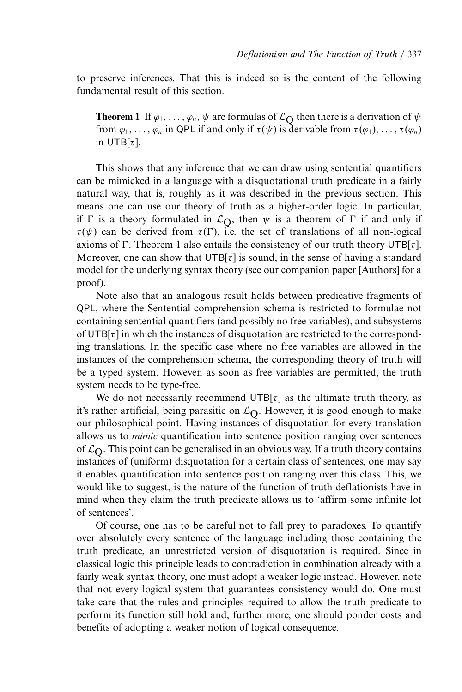to preserve inferences. That this is indeed so is the content of the following fundamental result of this section.

**Theorem 1** If  $\varphi_1, \ldots, \varphi_n, \psi$  are formulas of  $\mathcal{L}_{\mathbf{O}}$  then there is a derivation of  $\psi$ from  $\varphi_1, \ldots, \varphi_n$  in QPL if and only if  $\tau(\psi)$  is derivable from  $\tau(\varphi_1), \ldots, \tau(\varphi_n)$ in UTB $[\tau]$ .

This shows that any inference that we can draw using sentential quantifiers can be mimicked in a language with a disquotational truth predicate in a fairly natural way, that is, roughly as it was described in the previous section. This means one can use our theory of truth as a higher-order logic. In particular, if  $\Gamma$  is a theory formulated in  $\mathcal{L}_{\mathbf{O}}$ , then  $\psi$  is a theorem of  $\Gamma$  if and only if  $\tau(\psi)$  can be derived from  $\tau(\Gamma)$ , i.e. the set of translations of all non-logical axioms of  $\Gamma$ . Theorem 1 also entails the consistency of our truth theory UTB[ $\tau$ ]. Moreover, one can show that  $\text{UTB}[\tau]$  is sound, in the sense of having a standard model for the underlying syntax theory (see our companion paper [Authors] for a proof).

Note also that an analogous result holds between predicative fragments of QPL, where the Sentential comprehension schema is restricted to formulae not containing sentential quantifiers (and possibly no free variables), and subsystems of UTB[ $\tau$ ] in which the instances of disquotation are restricted to the corresponding translations. In the specific case where no free variables are allowed in the instances of the comprehension schema, the corresponding theory of truth will be a typed system. However, as soon as free variables are permitted, the truth system needs to be type-free.

We do not necessarily recommend  $UTB[\tau]$  as the ultimate truth theory, as it's rather artificial, being parasitic on  $\mathcal{L}_{\Omega}$ . However, it is good enough to make our philosophical point. Having instances of disquotation for every translation allows us to *mimic* quantification into sentence position ranging over sentences of  $\mathcal{L}_{\Omega}$ . This point can be generalised in an obvious way. If a truth theory contains instances of (uniform) disquotation for a certain class of sentences, one may say it enables quantification into sentence position ranging over this class. This, we would like to suggest, is the nature of the function of truth deflationists have in mind when they claim the truth predicate allows us to 'affirm some infinite lot of sentences'.

Of course, one has to be careful not to fall prey to paradoxes. To quantify over absolutely every sentence of the language including those containing the truth predicate, an unrestricted version of disquotation is required. Since in classical logic this principle leads to contradiction in combination already with a fairly weak syntax theory, one must adopt a weaker logic instead. However, note that not every logical system that guarantees consistency would do. One must take care that the rules and principles required to allow the truth predicate to perform its function still hold and, further more, one should ponder costs and benefits of adopting a weaker notion of logical consequence.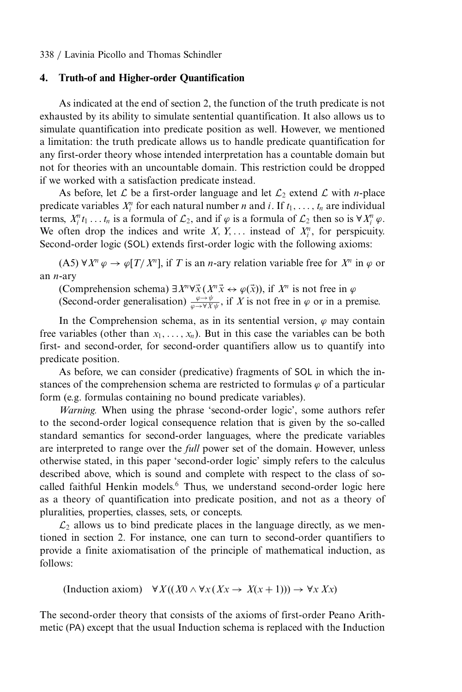# **4. Truth-of and Higher-order Quantification**

As indicated at the end of section 2, the function of the truth predicate is not exhausted by its ability to simulate sentential quantification. It also allows us to simulate quantification into predicate position as well. However, we mentioned a limitation: the truth predicate allows us to handle predicate quantification for any first-order theory whose intended interpretation has a countable domain but not for theories with an uncountable domain. This restriction could be dropped if we worked with a satisfaction predicate instead.

As before, let  $\mathcal L$  be a first-order language and let  $\mathcal L_2$  extend  $\mathcal L$  with *n*-place predicate variables  $X_i^n$  for each natural number *n* and *i*. If  $t_1, \ldots, t_n$  are individual terms,  $X_i^n t_1 \dots t_n$  is a formula of  $\mathcal{L}_2$ , and if  $\varphi$  is a formula of  $\mathcal{L}_2$  then so is  $\forall X_i^n \varphi$ . We often drop the indices and write  $X, Y, \ldots$  instead of  $X_i^n$ , for perspicuity. Second-order logic (SOL) extends first-order logic with the following axioms:

(A5) ∀*X<sup>n</sup>*  $\varphi$  →  $\varphi$ [*T*/*X<sup>n</sup>*], if *T* is an *n*-ary relation variable free for *X<sup>n</sup>* in  $\varphi$  or an *n*-ary

(Comprehension schema)  $\exists X^n \forall \vec{x} (X^n \vec{x} \leftrightarrow \varphi(\vec{x}))$ , if  $X^n$  is not free in  $\varphi$ 

(Second-order generalisation)  $\frac{\varphi \to \psi}{\varphi \to \forall X \psi}$ , if *X* is not free in  $\varphi$  or in a premise.

In the Comprehension schema, as in its sentential version,  $\varphi$  may contain free variables (other than  $x_1, \ldots, x_n$ ). But in this case the variables can be both first- and second-order, for second-order quantifiers allow us to quantify into predicate position.

As before, we can consider (predicative) fragments of SOL in which the instances of the comprehension schema are restricted to formulas  $\varphi$  of a particular form (e.g. formulas containing no bound predicate variables).

*Warning.* When using the phrase 'second-order logic', some authors refer to the second-order logical consequence relation that is given by the so-called standard semantics for second-order languages, where the predicate variables are interpreted to range over the *full* power set of the domain. However, unless otherwise stated, in this paper 'second-order logic' simply refers to the calculus described above, which is sound and complete with respect to the class of socalled faithful Henkin models. $6$  Thus, we understand second-order logic here as a theory of quantification into predicate position, and not as a theory of pluralities, properties, classes, sets, or concepts.

 $\mathcal{L}_2$  allows us to bind predicate places in the language directly, as we mentioned in section 2. For instance, one can turn to second-order quantifiers to provide a finite axiomatisation of the principle of mathematical induction, as follows:

(Induction axiom)  $\forall X((X0 \land \forall x (Xx \rightarrow X(x+1))) \rightarrow \forall x Xx)$ 

The second-order theory that consists of the axioms of first-order Peano Arithmetic (PA) except that the usual Induction schema is replaced with the Induction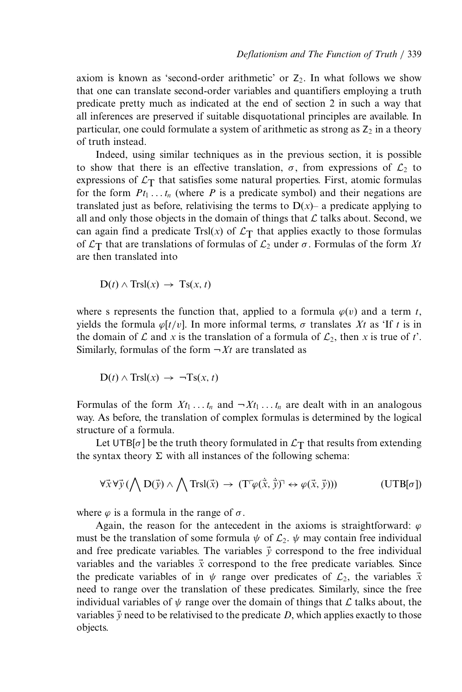axiom is known as 'second-order arithmetic' or  $Z_2$ . In what follows we show that one can translate second-order variables and quantifiers employing a truth predicate pretty much as indicated at the end of section 2 in such a way that all inferences are preserved if suitable disquotational principles are available. In particular, one could formulate a system of arithmetic as strong as  $Z_2$  in a theory of truth instead.

Indeed, using similar techniques as in the previous section, it is possible to show that there is an effective translation,  $\sigma$ , from expressions of  $\mathcal{L}_2$  to expressions of  $\mathcal{L}_{\mathsf{T}}$  that satisfies some natural properties. First, atomic formulas for the form  $Pt_1 \ldots t_n$  (where *P* is a predicate symbol) and their negations are translated just as before, relativising the terms to  $D(x)$ – a predicate applying to all and only those objects in the domain of things that  $\mathcal L$  talks about. Second, we can again find a predicate Trsl(*x*) of  $\mathcal{L}_T$  that applies exactly to those formulas of  $L_T$  that are translations of formulas of  $L_2$  under  $\sigma$ . Formulas of the form *Xt* are then translated into

 $D(t) \wedge Trsl(x) \rightarrow Ts(x, t)$ 

where s represents the function that, applied to a formula  $\varphi(v)$  and a term *t*, yields the formula  $\varphi[t/v]$ . In more informal terms,  $\sigma$  translates *Xt* as 'If *t* is in the domain of  $\mathcal L$  and  $x$  is the translation of a formula of  $\mathcal L_2$ , then  $x$  is true of  $t$ . Similarly, formulas of the form  $\neg Xt$  are translated as

$$
D(t) \wedge Trsl(x) \rightarrow \neg Ts(x, t)
$$

Formulas of the form  $Xt_1 \ldots t_n$  and  $\neg Xt_1 \ldots t_n$  are dealt with in an analogous way. As before, the translation of complex formulas is determined by the logical structure of a formula.

Let UTB[ $\sigma$ ] be the truth theory formulated in  $\mathcal{L}_T$  that results from extending the syntax theory  $\Sigma$  with all instances of the following schema:

$$
\forall \vec{x} \,\forall \vec{y} \, (\bigwedge D(\vec{y}) \wedge \bigwedge \text{Trsl}(\vec{x}) \ \rightarrow \ (T^{\ulcorner} \varphi(\dot{\vec{x}}, \dot{\vec{y}})^{\urcorner} \leftrightarrow \varphi(\vec{x}, \dot{\vec{y}}))) \tag{UTB}[\sigma])
$$

where  $\varphi$  is a formula in the range of  $\sigma$ .

Again, the reason for the antecedent in the axioms is straightforward:  $\varphi$ must be the translation of some formula  $\psi$  of  $\mathcal{L}_2$ .  $\psi$  may contain free individual and free predicate variables. The variables  $\vec{y}$  correspond to the free individual variables and the variables  $\vec{x}$  correspond to the free predicate variables. Since the predicate variables of in  $\psi$  range over predicates of  $\mathcal{L}_2$ , the variables  $\vec{x}$ need to range over the translation of these predicates. Similarly, since the free individual variables of  $\psi$  range over the domain of things that  $\mathcal L$  talks about, the variables  $\vec{y}$  need to be relativised to the predicate  $D$ , which applies exactly to those objects.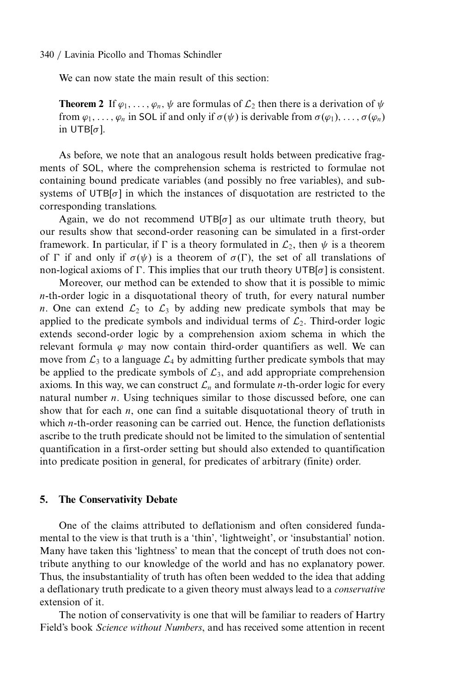We can now state the main result of this section:

**Theorem 2** If  $\varphi_1, \ldots, \varphi_n, \psi$  are formulas of  $\mathcal{L}_2$  then there is a derivation of  $\psi$ from  $\varphi_1, \ldots, \varphi_n$  in SOL if and only if  $\sigma(\psi)$  is derivable from  $\sigma(\varphi_1), \ldots, \sigma(\varphi_n)$ in UTB $[\sigma]$ .

As before, we note that an analogous result holds between predicative fragments of SOL, where the comprehension schema is restricted to formulae not containing bound predicate variables (and possibly no free variables), and subsystems of UTB $[\sigma]$  in which the instances of disquotation are restricted to the corresponding translations.

Again, we do not recommend UTB[ $\sigma$ ] as our ultimate truth theory, but our results show that second-order reasoning can be simulated in a first-order framework. In particular, if  $\Gamma$  is a theory formulated in  $\mathcal{L}_2$ , then  $\psi$  is a theorem of  $\Gamma$  if and only if  $\sigma(\psi)$  is a theorem of  $\sigma(\Gamma)$ , the set of all translations of non-logical axioms of  $\Gamma$ . This implies that our truth theory UTB[ $\sigma$ ] is consistent.

Moreover, our method can be extended to show that it is possible to mimic *n*-th-order logic in a disquotational theory of truth, for every natural number *n*. One can extend  $\mathcal{L}_2$  to  $\mathcal{L}_3$  by adding new predicate symbols that may be applied to the predicate symbols and individual terms of  $\mathcal{L}_2$ . Third-order logic extends second-order logic by a comprehension axiom schema in which the relevant formula  $\varphi$  may now contain third-order quantifiers as well. We can move from  $\mathcal{L}_3$  to a language  $\mathcal{L}_4$  by admitting further predicate symbols that may be applied to the predicate symbols of  $\mathcal{L}_3$ , and add appropriate comprehension axioms. In this way, we can construct  $\mathcal{L}_n$  and formulate *n*-th-order logic for every natural number *n*. Using techniques similar to those discussed before, one can show that for each *n*, one can find a suitable disquotational theory of truth in which *n*-th-order reasoning can be carried out. Hence, the function deflationists ascribe to the truth predicate should not be limited to the simulation of sentential quantification in a first-order setting but should also extended to quantification into predicate position in general, for predicates of arbitrary (finite) order.

## **5. The Conservativity Debate**

One of the claims attributed to deflationism and often considered fundamental to the view is that truth is a 'thin', 'lightweight', or 'insubstantial' notion. Many have taken this 'lightness' to mean that the concept of truth does not contribute anything to our knowledge of the world and has no explanatory power. Thus, the insubstantiality of truth has often been wedded to the idea that adding a deflationary truth predicate to a given theory must always lead to a *conservative* extension of it.

The notion of conservativity is one that will be familiar to readers of Hartry Field's book *Science without Numbers*, and has received some attention in recent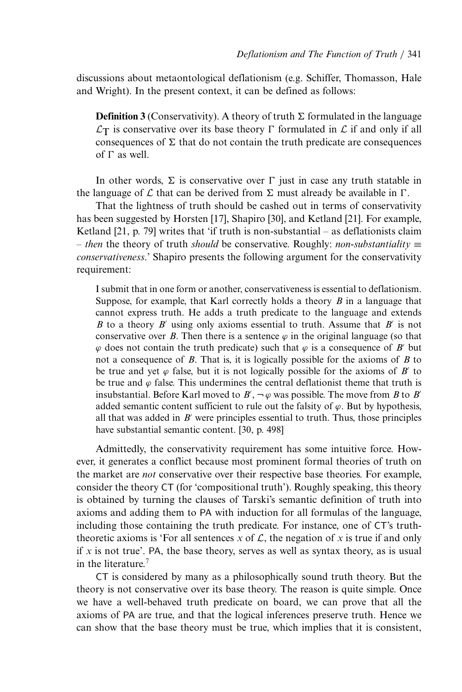discussions about metaontological deflationism (e.g. Schiffer, Thomasson, Hale and Wright). In the present context, it can be defined as follows:

**Definition 3** (Conservativity). A theory of truth  $\Sigma$  formulated in the language  $\mathcal{L}_T$  is conservative over its base theory  $\Gamma$  formulated in  $\mathcal L$  if and only if all consequences of  $\Sigma$  that do not contain the truth predicate are consequences of  $\Gamma$  as well.

In other words,  $\Sigma$  is conservative over  $\Gamma$  just in case any truth statable in the language of  $\mathcal L$  that can be derived from  $\Sigma$  must already be available in  $\Gamma$ .

That the lightness of truth should be cashed out in terms of conservativity has been suggested by Horsten [17], Shapiro [30], and Ketland [21]. For example, Ketland  $[21, p. 79]$  writes that 'if truth is non-substantial – as deflationists claim – *then* the theory of truth *should* be conservative. Roughly: *non-substantiality* ≡ *conservativeness*.' Shapiro presents the following argument for the conservativity requirement:

I submit that in one form or another, conservativeness is essential to deflationism. Suppose, for example, that Karl correctly holds a theory *B* in a language that cannot express truth. He adds a truth predicate to the language and extends *B* to a theory *B*<sup>'</sup> using only axioms essential to truth. Assume that *B*<sup>'</sup> is not conservative over *B*. Then there is a sentence  $\varphi$  in the original language (so that  $\varphi$  does not contain the truth predicate) such that  $\varphi$  is a consequence of *B*<sup> $\prime$ </sup> but not a consequence of *B*. That is, it is logically possible for the axioms of *B* to be true and yet  $\varphi$  false, but it is not logically possible for the axioms of *B*<sup>'</sup> to be true and  $\varphi$  false. This undermines the central deflationist theme that truth is insubstantial. Before Karl moved to  $B'$ ,  $\neg \varphi$  was possible. The move from *B* to *B'* added semantic content sufficient to rule out the falsity of  $\varphi$ . But by hypothesis, all that was added in *B* were principles essential to truth. Thus, those principles have substantial semantic content. [30, p. 498]

Admittedly, the conservativity requirement has some intuitive force. However, it generates a conflict because most prominent formal theories of truth on the market are *not* conservative over their respective base theories. For example, consider the theory CT (for 'compositional truth'). Roughly speaking, this theory is obtained by turning the clauses of Tarski's semantic definition of truth into axioms and adding them to PA with induction for all formulas of the language, including those containing the truth predicate. For instance, one of CT's truththeoretic axioms is 'For all sentences x of  $\mathcal{L}$ , the negation of x is true if and only if  $x$  is not true'. PA, the base theory, serves as well as syntax theory, as is usual in the literature.<sup>7</sup>

CT is considered by many as a philosophically sound truth theory. But the theory is not conservative over its base theory. The reason is quite simple. Once we have a well-behaved truth predicate on board, we can prove that all the axioms of PA are true, and that the logical inferences preserve truth. Hence we can show that the base theory must be true, which implies that it is consistent,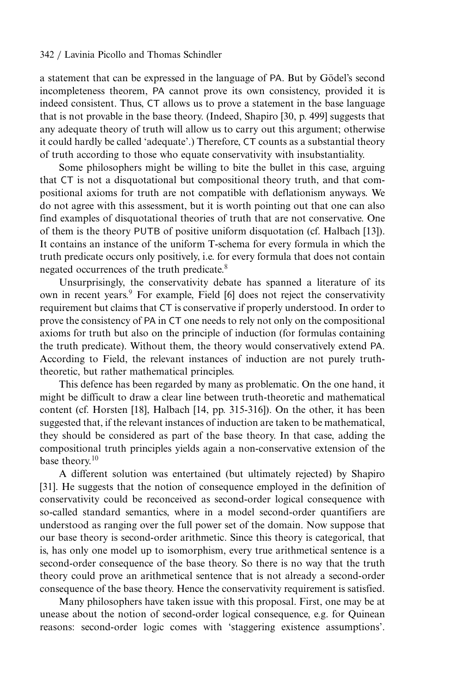a statement that can be expressed in the language of PA. But by Gödel's second incompleteness theorem, PA cannot prove its own consistency, provided it is indeed consistent. Thus, CT allows us to prove a statement in the base language that is not provable in the base theory. (Indeed, Shapiro [30, p. 499] suggests that any adequate theory of truth will allow us to carry out this argument; otherwise it could hardly be called 'adequate'.) Therefore, CT counts as a substantial theory of truth according to those who equate conservativity with insubstantiality.

Some philosophers might be willing to bite the bullet in this case, arguing that CT is not a disquotational but compositional theory truth, and that compositional axioms for truth are not compatible with deflationism anyways. We do not agree with this assessment, but it is worth pointing out that one can also find examples of disquotational theories of truth that are not conservative. One of them is the theory PUTB of positive uniform disquotation (cf. Halbach [13]). It contains an instance of the uniform T-schema for every formula in which the truth predicate occurs only positively, i.e. for every formula that does not contain negated occurrences of the truth predicate.<sup>8</sup>

Unsurprisingly, the conservativity debate has spanned a literature of its own in recent years.<sup>9</sup> For example, Field [6] does not reject the conservativity requirement but claims that CT is conservative if properly understood. In order to prove the consistency of PA in CT one needs to rely not only on the compositional axioms for truth but also on the principle of induction (for formulas containing the truth predicate). Without them, the theory would conservatively extend PA. According to Field, the relevant instances of induction are not purely truththeoretic, but rather mathematical principles.

This defence has been regarded by many as problematic. On the one hand, it might be difficult to draw a clear line between truth-theoretic and mathematical content (cf. Horsten [18], Halbach [14, pp. 315-316]). On the other, it has been suggested that, if the relevant instances of induction are taken to be mathematical, they should be considered as part of the base theory. In that case, adding the compositional truth principles yields again a non-conservative extension of the base theory.<sup>10</sup>

A different solution was entertained (but ultimately rejected) by Shapiro [31]. He suggests that the notion of consequence employed in the definition of conservativity could be reconceived as second-order logical consequence with so-called standard semantics, where in a model second-order quantifiers are understood as ranging over the full power set of the domain. Now suppose that our base theory is second-order arithmetic. Since this theory is categorical, that is, has only one model up to isomorphism, every true arithmetical sentence is a second-order consequence of the base theory. So there is no way that the truth theory could prove an arithmetical sentence that is not already a second-order consequence of the base theory. Hence the conservativity requirement is satisfied.

Many philosophers have taken issue with this proposal. First, one may be at unease about the notion of second-order logical consequence, e.g. for Quinean reasons: second-order logic comes with 'staggering existence assumptions'.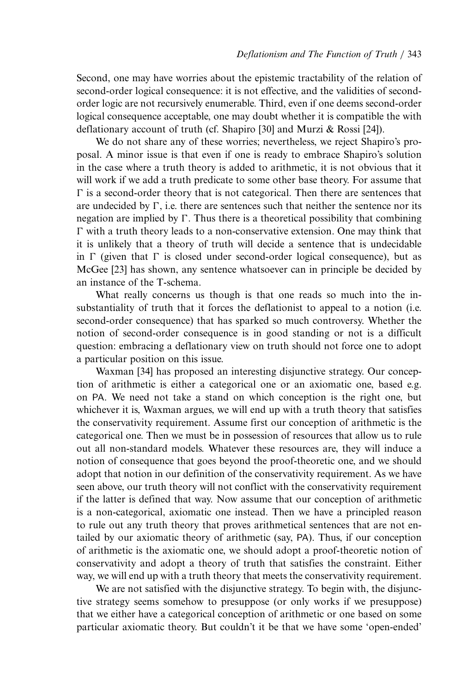Second, one may have worries about the epistemic tractability of the relation of second-order logical consequence: it is not effective, and the validities of secondorder logic are not recursively enumerable. Third, even if one deems second-order logical consequence acceptable, one may doubt whether it is compatible the with deflationary account of truth (cf. Shapiro [30] and Murzi & Rossi [24]).

We do not share any of these worries; nevertheless, we reject Shapiro's proposal. A minor issue is that even if one is ready to embrace Shapiro's solution in the case where a truth theory is added to arithmetic, it is not obvious that it will work if we add a truth predicate to some other base theory. For assume that  $\Gamma$  is a second-order theory that is not categorical. Then there are sentences that are undecided by  $\Gamma$ , i.e. there are sentences such that neither the sentence nor its negation are implied by  $\Gamma$ . Thus there is a theoretical possibility that combining  $\Gamma$  with a truth theory leads to a non-conservative extension. One may think that it is unlikely that a theory of truth will decide a sentence that is undecidable in  $\Gamma$  (given that  $\Gamma$  is closed under second-order logical consequence), but as McGee [23] has shown, any sentence whatsoever can in principle be decided by an instance of the T-schema.

What really concerns us though is that one reads so much into the insubstantiality of truth that it forces the deflationist to appeal to a notion (i.e. second-order consequence) that has sparked so much controversy. Whether the notion of second-order consequence is in good standing or not is a difficult question: embracing a deflationary view on truth should not force one to adopt a particular position on this issue.

Waxman [34] has proposed an interesting disjunctive strategy. Our conception of arithmetic is either a categorical one or an axiomatic one, based e.g. on PA. We need not take a stand on which conception is the right one, but whichever it is, Waxman argues, we will end up with a truth theory that satisfies the conservativity requirement. Assume first our conception of arithmetic is the categorical one. Then we must be in possession of resources that allow us to rule out all non-standard models. Whatever these resources are, they will induce a notion of consequence that goes beyond the proof-theoretic one, and we should adopt that notion in our definition of the conservativity requirement. As we have seen above, our truth theory will not conflict with the conservativity requirement if the latter is defined that way. Now assume that our conception of arithmetic is a non-categorical, axiomatic one instead. Then we have a principled reason to rule out any truth theory that proves arithmetical sentences that are not entailed by our axiomatic theory of arithmetic (say, PA). Thus, if our conception of arithmetic is the axiomatic one, we should adopt a proof-theoretic notion of conservativity and adopt a theory of truth that satisfies the constraint. Either way, we will end up with a truth theory that meets the conservativity requirement.

We are not satisfied with the disjunctive strategy. To begin with, the disjunctive strategy seems somehow to presuppose (or only works if we presuppose) that we either have a categorical conception of arithmetic or one based on some particular axiomatic theory. But couldn't it be that we have some 'open-ended'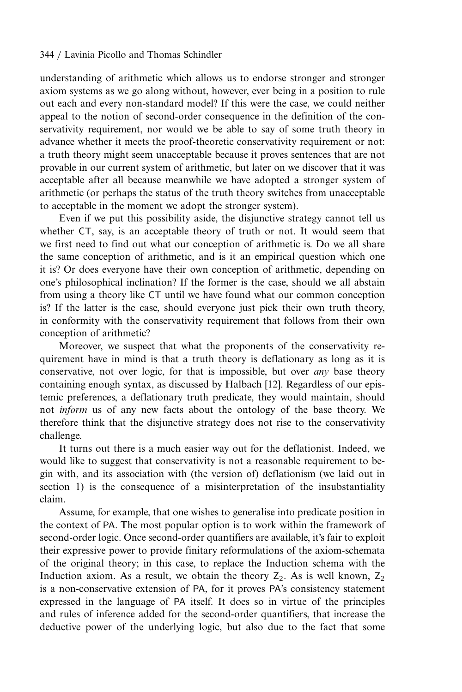understanding of arithmetic which allows us to endorse stronger and stronger axiom systems as we go along without, however, ever being in a position to rule out each and every non-standard model? If this were the case, we could neither appeal to the notion of second-order consequence in the definition of the conservativity requirement, nor would we be able to say of some truth theory in advance whether it meets the proof-theoretic conservativity requirement or not: a truth theory might seem unacceptable because it proves sentences that are not provable in our current system of arithmetic, but later on we discover that it was acceptable after all because meanwhile we have adopted a stronger system of arithmetic (or perhaps the status of the truth theory switches from unacceptable to acceptable in the moment we adopt the stronger system).

Even if we put this possibility aside, the disjunctive strategy cannot tell us whether CT, say, is an acceptable theory of truth or not. It would seem that we first need to find out what our conception of arithmetic is. Do we all share the same conception of arithmetic, and is it an empirical question which one it is? Or does everyone have their own conception of arithmetic, depending on one's philosophical inclination? If the former is the case, should we all abstain from using a theory like CT until we have found what our common conception is? If the latter is the case, should everyone just pick their own truth theory, in conformity with the conservativity requirement that follows from their own conception of arithmetic?

Moreover, we suspect that what the proponents of the conservativity requirement have in mind is that a truth theory is deflationary as long as it is conservative, not over logic, for that is impossible, but over *any* base theory containing enough syntax, as discussed by Halbach [12]. Regardless of our epistemic preferences, a deflationary truth predicate, they would maintain, should not *inform* us of any new facts about the ontology of the base theory. We therefore think that the disjunctive strategy does not rise to the conservativity challenge.

It turns out there is a much easier way out for the deflationist. Indeed, we would like to suggest that conservativity is not a reasonable requirement to begin with, and its association with (the version of) deflationism (we laid out in section 1) is the consequence of a misinterpretation of the insubstantiality claim.

Assume, for example, that one wishes to generalise into predicate position in the context of PA. The most popular option is to work within the framework of second-order logic. Once second-order quantifiers are available, it's fair to exploit their expressive power to provide finitary reformulations of the axiom-schemata of the original theory; in this case, to replace the Induction schema with the Induction axiom. As a result, we obtain the theory  $Z_2$ . As is well known,  $Z_2$ is a non-conservative extension of PA, for it proves PA's consistency statement expressed in the language of PA itself. It does so in virtue of the principles and rules of inference added for the second-order quantifiers, that increase the deductive power of the underlying logic, but also due to the fact that some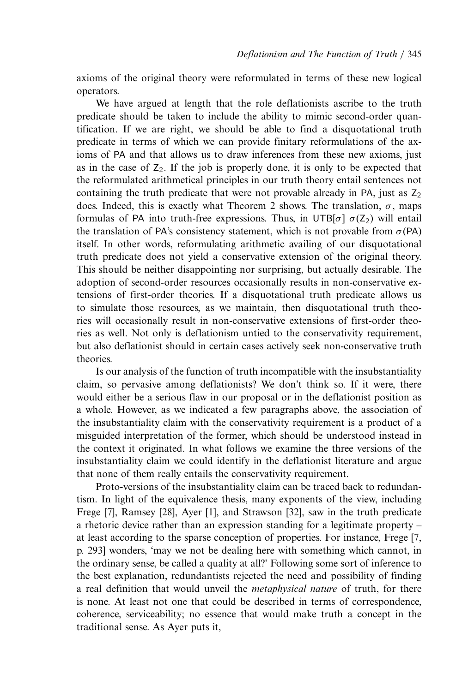axioms of the original theory were reformulated in terms of these new logical operators.

We have argued at length that the role deflationists ascribe to the truth predicate should be taken to include the ability to mimic second-order quantification. If we are right, we should be able to find a disquotational truth predicate in terms of which we can provide finitary reformulations of the axioms of PA and that allows us to draw inferences from these new axioms, just as in the case of  $Z_2$ . If the job is properly done, it is only to be expected that the reformulated arithmetical principles in our truth theory entail sentences not containing the truth predicate that were not provable already in PA, just as  $Z_2$ does. Indeed, this is exactly what Theorem 2 shows. The translation,  $\sigma$ , maps formulas of PA into truth-free expressions. Thus, in UTB[ $\sigma$ ]  $\sigma$ ( $Z_2$ ) will entail the translation of PA's consistency statement, which is not provable from  $\sigma$ (PA) itself. In other words, reformulating arithmetic availing of our disquotational truth predicate does not yield a conservative extension of the original theory. This should be neither disappointing nor surprising, but actually desirable. The adoption of second-order resources occasionally results in non-conservative extensions of first-order theories. If a disquotational truth predicate allows us to simulate those resources, as we maintain, then disquotational truth theories will occasionally result in non-conservative extensions of first-order theories as well. Not only is deflationism untied to the conservativity requirement, but also deflationist should in certain cases actively seek non-conservative truth theories.

Is our analysis of the function of truth incompatible with the insubstantiality claim, so pervasive among deflationists? We don't think so. If it were, there would either be a serious flaw in our proposal or in the deflationist position as a whole. However, as we indicated a few paragraphs above, the association of the insubstantiality claim with the conservativity requirement is a product of a misguided interpretation of the former, which should be understood instead in the context it originated. In what follows we examine the three versions of the insubstantiality claim we could identify in the deflationist literature and argue that none of them really entails the conservativity requirement.

Proto-versions of the insubstantiality claim can be traced back to redundantism. In light of the equivalence thesis, many exponents of the view, including Frege [7], Ramsey [28], Ayer [1], and Strawson [32], saw in the truth predicate a rhetoric device rather than an expression standing for a legitimate property – at least according to the sparse conception of properties. For instance, Frege [7, p. 293] wonders, 'may we not be dealing here with something which cannot, in the ordinary sense, be called a quality at all?' Following some sort of inference to the best explanation, redundantists rejected the need and possibility of finding a real definition that would unveil the *metaphysical nature* of truth, for there is none. At least not one that could be described in terms of correspondence, coherence, serviceability; no essence that would make truth a concept in the traditional sense. As Ayer puts it,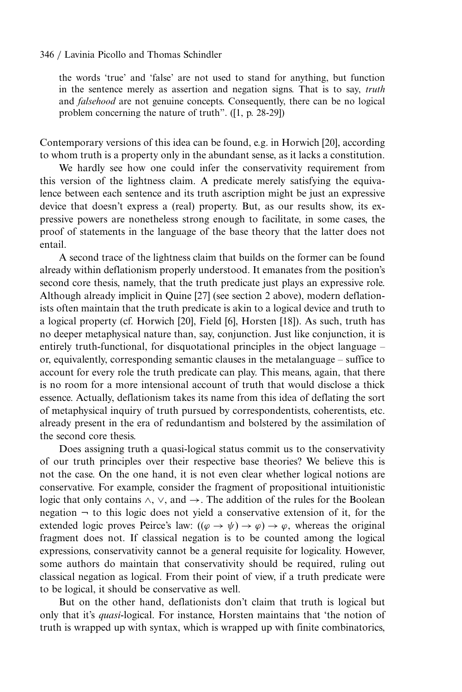the words 'true' and 'false' are not used to stand for anything, but function in the sentence merely as assertion and negation signs. That is to say, *truth* and *falsehood* are not genuine concepts. Consequently, there can be no logical problem concerning the nature of truth". ([1, p. 28-29])

Contemporary versions of this idea can be found, e.g. in Horwich [20], according to whom truth is a property only in the abundant sense, as it lacks a constitution.

We hardly see how one could infer the conservativity requirement from this version of the lightness claim. A predicate merely satisfying the equivalence between each sentence and its truth ascription might be just an expressive device that doesn't express a (real) property. But, as our results show, its expressive powers are nonetheless strong enough to facilitate, in some cases, the proof of statements in the language of the base theory that the latter does not entail.

A second trace of the lightness claim that builds on the former can be found already within deflationism properly understood. It emanates from the position's second core thesis, namely, that the truth predicate just plays an expressive role. Although already implicit in Quine [27] (see section 2 above), modern deflationists often maintain that the truth predicate is akin to a logical device and truth to a logical property (cf. Horwich [20], Field [6], Horsten [18]). As such, truth has no deeper metaphysical nature than, say, conjunction. Just like conjunction, it is entirely truth-functional, for disquotational principles in the object language – or, equivalently, corresponding semantic clauses in the metalanguage – suffice to account for every role the truth predicate can play. This means, again, that there is no room for a more intensional account of truth that would disclose a thick essence. Actually, deflationism takes its name from this idea of deflating the sort of metaphysical inquiry of truth pursued by correspondentists, coherentists, etc. already present in the era of redundantism and bolstered by the assimilation of the second core thesis.

Does assigning truth a quasi-logical status commit us to the conservativity of our truth principles over their respective base theories? We believe this is not the case. On the one hand, it is not even clear whether logical notions are conservative. For example, consider the fragment of propositional intuitionistic logic that only contains  $\land$ ,  $\lor$ , and  $\rightarrow$ . The addition of the rules for the Boolean negation  $\sim$  to this logic does not yield a conservative extension of it, for the extended logic proves Peirce's law:  $((\varphi \to \psi) \to \varphi) \to \varphi$ , whereas the original fragment does not. If classical negation is to be counted among the logical expressions, conservativity cannot be a general requisite for logicality. However, some authors do maintain that conservativity should be required, ruling out classical negation as logical. From their point of view, if a truth predicate were to be logical, it should be conservative as well.

But on the other hand, deflationists don't claim that truth is logical but only that it's *quasi*-logical. For instance, Horsten maintains that 'the notion of truth is wrapped up with syntax, which is wrapped up with finite combinatorics,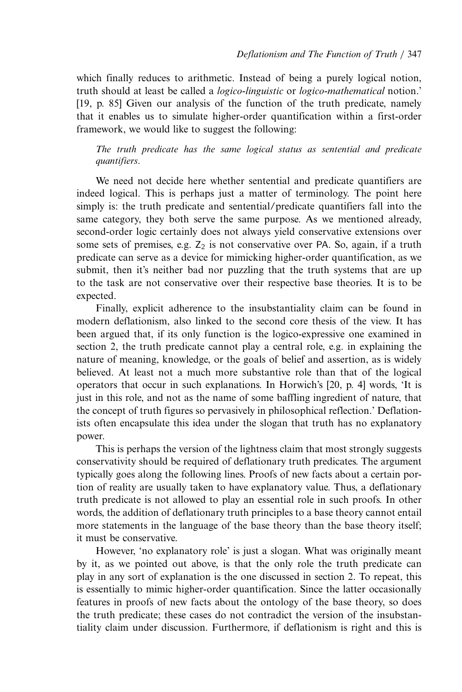which finally reduces to arithmetic. Instead of being a purely logical notion, truth should at least be called a *logico-linguistic* or *logico-mathematical* notion.' [19, p. 85] Given our analysis of the function of the truth predicate, namely that it enables us to simulate higher-order quantification within a first-order framework, we would like to suggest the following:

*The truth predicate has the same logical status as sentential and predicate quantifiers*.

We need not decide here whether sentential and predicate quantifiers are indeed logical. This is perhaps just a matter of terminology. The point here simply is: the truth predicate and sentential/predicate quantifiers fall into the same category, they both serve the same purpose. As we mentioned already, second-order logic certainly does not always yield conservative extensions over some sets of premises, e.g.  $Z_2$  is not conservative over PA. So, again, if a truth predicate can serve as a device for mimicking higher-order quantification, as we submit, then it's neither bad nor puzzling that the truth systems that are up to the task are not conservative over their respective base theories. It is to be expected.

Finally, explicit adherence to the insubstantiality claim can be found in modern deflationism, also linked to the second core thesis of the view. It has been argued that, if its only function is the logico-expressive one examined in section 2, the truth predicate cannot play a central role, e.g. in explaining the nature of meaning, knowledge, or the goals of belief and assertion, as is widely believed. At least not a much more substantive role than that of the logical operators that occur in such explanations. In Horwich's [20, p. 4] words, 'It is just in this role, and not as the name of some baffling ingredient of nature, that the concept of truth figures so pervasively in philosophical reflection.' Deflationists often encapsulate this idea under the slogan that truth has no explanatory power.

This is perhaps the version of the lightness claim that most strongly suggests conservativity should be required of deflationary truth predicates. The argument typically goes along the following lines. Proofs of new facts about a certain portion of reality are usually taken to have explanatory value. Thus, a deflationary truth predicate is not allowed to play an essential role in such proofs. In other words, the addition of deflationary truth principles to a base theory cannot entail more statements in the language of the base theory than the base theory itself; it must be conservative.

However, 'no explanatory role' is just a slogan. What was originally meant by it, as we pointed out above, is that the only role the truth predicate can play in any sort of explanation is the one discussed in section 2. To repeat, this is essentially to mimic higher-order quantification. Since the latter occasionally features in proofs of new facts about the ontology of the base theory, so does the truth predicate; these cases do not contradict the version of the insubstantiality claim under discussion. Furthermore, if deflationism is right and this is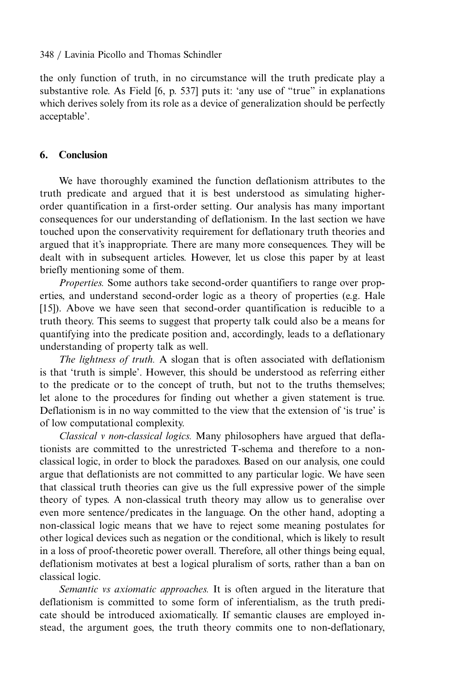the only function of truth, in no circumstance will the truth predicate play a substantive role. As Field [6, p. 537] puts it: 'any use of "true" in explanations which derives solely from its role as a device of generalization should be perfectly acceptable'.

## **6. Conclusion**

We have thoroughly examined the function deflationism attributes to the truth predicate and argued that it is best understood as simulating higherorder quantification in a first-order setting. Our analysis has many important consequences for our understanding of deflationism. In the last section we have touched upon the conservativity requirement for deflationary truth theories and argued that it's inappropriate. There are many more consequences. They will be dealt with in subsequent articles. However, let us close this paper by at least briefly mentioning some of them.

*Properties.* Some authors take second-order quantifiers to range over properties, and understand second-order logic as a theory of properties (e.g. Hale [15]). Above we have seen that second-order quantification is reducible to a truth theory. This seems to suggest that property talk could also be a means for quantifying into the predicate position and, accordingly, leads to a deflationary understanding of property talk as well.

*The lightness of truth.* A slogan that is often associated with deflationism is that 'truth is simple'. However, this should be understood as referring either to the predicate or to the concept of truth, but not to the truths themselves; let alone to the procedures for finding out whether a given statement is true. Deflationism is in no way committed to the view that the extension of 'is true' is of low computational complexity.

*Classical v non-classical logics.* Many philosophers have argued that deflationists are committed to the unrestricted T-schema and therefore to a nonclassical logic, in order to block the paradoxes. Based on our analysis, one could argue that deflationists are not committed to any particular logic. We have seen that classical truth theories can give us the full expressive power of the simple theory of types. A non-classical truth theory may allow us to generalise over even more sentence/predicates in the language. On the other hand, adopting a non-classical logic means that we have to reject some meaning postulates for other logical devices such as negation or the conditional, which is likely to result in a loss of proof-theoretic power overall. Therefore, all other things being equal, deflationism motivates at best a logical pluralism of sorts, rather than a ban on classical logic.

*Semantic vs axiomatic approaches.* It is often argued in the literature that deflationism is committed to some form of inferentialism, as the truth predicate should be introduced axiomatically. If semantic clauses are employed instead, the argument goes, the truth theory commits one to non-deflationary,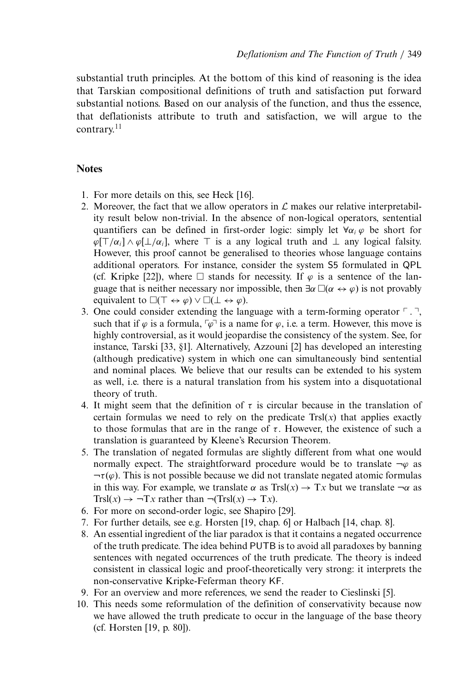substantial truth principles. At the bottom of this kind of reasoning is the idea that Tarskian compositional definitions of truth and satisfaction put forward substantial notions. Based on our analysis of the function, and thus the essence, that deflationists attribute to truth and satisfaction, we will argue to the contrary.11

# **Notes**

- 1. For more details on this, see Heck [16].
- 2. Moreover, the fact that we allow operators in  $\mathcal L$  makes our relative interpretability result below non-trivial. In the absence of non-logical operators, sentential quantifiers can be defined in first-order logic: simply let  $\forall \alpha_i \varphi$  be short for  $\varphi$ [ $\top/\alpha_i$ ]  $\wedge$   $\varphi$ [ $\bot/\alpha_i$ ], where  $\top$  is a any logical truth and  $\bot$  any logical falsity. However, this proof cannot be generalised to theories whose language contains additional operators. For instance, consider the system S5 formulated in QPL (cf. Kripke [22]), where  $\Box$  stands for necessity. If  $\varphi$  is a sentence of the language that is neither necessary nor impossible, then  $\exists \alpha \Box (\alpha \leftrightarrow \varphi)$  is not provably equivalent to  $\square(\top \leftrightarrow \varphi) \vee \square(\bot \leftrightarrow \varphi)$ .
- 3. One could consider extending the language with a term-forming operator  $\lceil . \rceil$ , such that if  $\varphi$  is a formula,  $\lceil \varphi \rceil$  is a name for  $\varphi$ , i.e. a term. However, this move is highly controversial, as it would jeopardise the consistency of the system. See, for instance, Tarski [33, §1]. Alternatively, Azzouni [2] has developed an interesting (although predicative) system in which one can simultaneously bind sentential and nominal places. We believe that our results can be extended to his system as well, i.e. there is a natural translation from his system into a disquotational theory of truth.
- 4. It might seem that the definition of  $\tau$  is circular because in the translation of certain formulas we need to rely on the predicate  $Trsl(x)$  that applies exactly to those formulas that are in the range of  $\tau$ . However, the existence of such a translation is guaranteed by Kleene's Recursion Theorem.
- 5. The translation of negated formulas are slightly different from what one would normally expect. The straightforward procedure would be to translate  $\neg \varphi$  as  $\neg \tau(\varphi)$ . This is not possible because we did not translate negated atomic formulas in this way. For example, we translate  $\alpha$  as Trsl(*x*)  $\rightarrow$  T*x* but we translate  $\neg \alpha$  as  $Trsl(x) \rightarrow \neg Tx$  rather than  $\neg (Trsl(x) \rightarrow Tx)$ .
- 6. For more on second-order logic, see Shapiro [29].
- 7. For further details, see e.g. Horsten [19, chap. 6] or Halbach [14, chap. 8].
- 8. An essential ingredient of the liar paradox is that it contains a negated occurrence of the truth predicate. The idea behind PUTB is to avoid all paradoxes by banning sentences with negated occurrences of the truth predicate. The theory is indeed consistent in classical logic and proof-theoretically very strong: it interprets the non-conservative Kripke-Feferman theory KF.
- 9. For an overview and more references, we send the reader to Cieslinski [5].
- 10. This needs some reformulation of the definition of conservativity because now we have allowed the truth predicate to occur in the language of the base theory (cf. Horsten [19, p. 80]).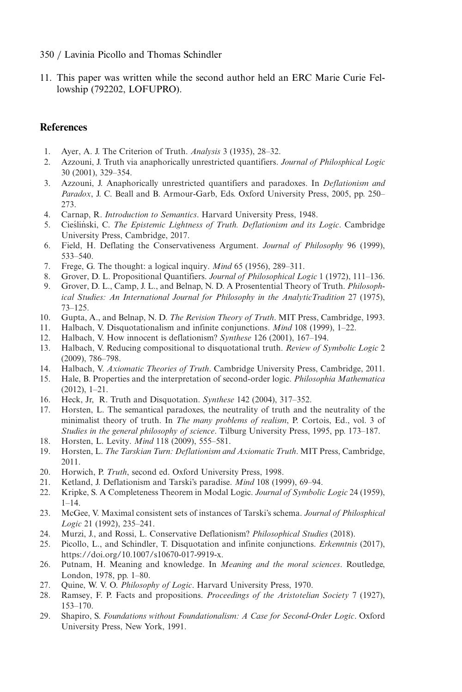- 350 / Lavinia Picollo and Thomas Schindler
- 11. This paper was written while the second author held an ERC Marie Curie Fellowship (792202, LOFUPRO).

# **References**

- 1. Ayer, A. J. The Criterion of Truth. *Analysis* 3 (1935), 28–32.
- 2. Azzouni, J. Truth via anaphorically unrestricted quantifiers. *Journal of Philosphical Logic* 30 (2001), 329–354.
- 3. Azzouni, J. Anaphorically unrestricted quantifiers and paradoxes. In *Deflationism and Paradox*, J. C. Beall and B. Armour-Garb, Eds. Oxford University Press, 2005, pp. 250– 273.
- 4. Carnap, R. *Introduction to Semantics*. Harvard University Press, 1948.
- 5. Cieśliński, C. *The Epistemic Lightness of Truth. Deflationism and its Logic*. Cambridge University Press, Cambridge, 2017.
- 6. Field, H. Deflating the Conservativeness Argument. *Journal of Philosophy* 96 (1999), 533–540.
- 7. Frege, G. The thought: a logical inquiry. *Mind* 65 (1956), 289–311.
- 8. Grover, D. L. Propositional Quantifiers. *Journal of Philosophical Logic* 1 (1972), 111–136.
- 9. Grover, D. L., Camp, J. L., and Belnap, N. D. A Prosentential Theory of Truth. *Philosophical Studies: An International Journal for Philosophy in the AnalyticTradition* 27 (1975), 73–125.
- 10. Gupta, A., and Belnap, N. D. *The Revision Theory of Truth*. MIT Press, Cambridge, 1993.
- 11. Halbach, V. Disquotationalism and infinite conjunctions. *Mind* 108 (1999), 1–22.
- 12. Halbach, V. How innocent is deflationism? *Synthese* 126 (2001), 167–194.
- 13. Halbach, V. Reducing compositional to disquotational truth. *Review of Symbolic Logic* 2 (2009), 786–798.
- 14. Halbach, V. *Axiomatic Theories of Truth*. Cambridge University Press, Cambridge, 2011.
- 15. Hale, B. Properties and the interpretation of second-order logic. *Philosophia Mathematica* (2012), 1–21.
- 16. Heck, Jr, R. Truth and Disquotation. *Synthese* 142 (2004), 317–352.
- 17. Horsten, L. The semantical paradoxes, the neutrality of truth and the neutrality of the minimalist theory of truth. In *The many problems of realism*, P. Cortois, Ed., vol. 3 of *Studies in the general philosophy of science*. Tilburg University Press, 1995, pp. 173–187.
- 18. Horsten, L. Levity. *Mind* 118 (2009), 555–581.
- 19. Horsten, L. *The Tarskian Turn: Deflationism and Axiomatic Truth*. MIT Press, Cambridge, 2011.
- 20. Horwich, P. *Truth*, second ed. Oxford University Press, 1998.
- 21. Ketland, J. Deflationism and Tarski's paradise. *Mind* 108 (1999), 69–94.
- 22. Kripke, S. A Completeness Theorem in Modal Logic. *Journal of Symbolic Logic* 24 (1959),  $1 - 14.$
- 23. McGee, V. Maximal consistent sets of instances of Tarski's schema. *Journal of Philosphical Logic* 21 (1992), 235–241.
- 24. Murzi, J., and Rossi, L. Conservative Deflationism? *Philosophical Studies* (2018).
- 25. Picollo, L., and Schindler, T. Disquotation and infinite conjunctions. *Erkenntnis* (2017), [https://doi.org/10.1007/s10670-017-9919-x.](https://doi.org/10.1007/s10670-017-9919-x)
- 26. Putnam, H. Meaning and knowledge. In *Meaning and the moral sciences*. Routledge, London, 1978, pp. 1–80.
- 27. Quine, W. V. O. *Philosophy of Logic*. Harvard University Press, 1970.
- 28. Ramsey, F. P. Facts and propositions. *Proceedings of the Aristotelian Society* 7 (1927), 153–170.
- 29. Shapiro, S. *Foundations without Foundationalism: A Case for Second-Order Logic*. Oxford University Press, New York, 1991.